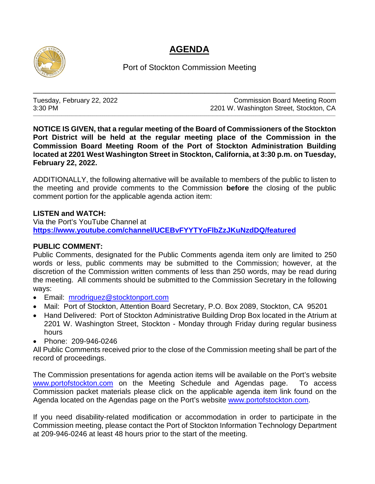## **AGENDA**



Port of Stockton Commission Meeting

\_\_\_\_\_\_\_\_\_\_\_\_\_\_\_\_\_\_\_\_\_\_\_\_\_\_\_\_\_\_\_\_\_\_\_\_\_\_\_\_\_\_\_\_\_\_\_\_\_\_\_\_\_\_\_\_\_\_\_\_\_\_\_\_\_\_\_\_\_\_\_\_\_\_

\_\_\_\_\_\_\_\_\_\_\_\_\_\_\_\_\_\_\_\_\_\_\_\_\_\_\_\_\_\_\_\_\_\_\_\_\_\_\_\_\_\_\_\_\_\_\_\_\_\_\_\_\_\_\_\_\_\_\_\_\_\_\_\_\_\_\_\_\_\_\_\_\_\_\_\_\_\_\_\_\_\_\_\_\_\_\_\_\_\_\_\_\_\_\_\_\_\_\_\_\_\_\_\_\_\_\_\_\_\_\_\_\_\_\_\_\_\_\_\_\_\_\_\_\_\_\_\_\_\_\_\_\_\_\_\_\_\_\_\_\_\_\_\_\_\_\_\_

Tuesday, February 22, 2022 **Commission Board Meeting Room**<br>3:30 PM 3:30 PM 2201 W. Washington Street, Stockton, CA

**NOTICE IS GIVEN, that a regular meeting of the Board of Commissioners of the Stockton Port District will be held at the regular meeting place of the Commission in the Commission Board Meeting Room of the Port of Stockton Administration Building located at 2201 West Washington Street in Stockton, California, at 3:30 p.m. on Tuesday, February 22, 2022.**

ADDITIONALLY, the following alternative will be available to members of the public to listen to the meeting and provide comments to the Commission **before** the closing of the public comment portion for the applicable agenda action item:

## **LISTEN and WATCH:**

Via the Port's YouTube Channel at **<https://www.youtube.com/channel/UCEBvFYYTYoFlbZzJKuNzdDQ/featured>**

## **PUBLIC COMMENT:**

Public Comments, designated for the Public Comments agenda item only are limited to 250 words or less, public comments may be submitted to the Commission; however, at the discretion of the Commission written comments of less than 250 words, may be read during the meeting. All comments should be submitted to the Commission Secretary in the following ways:

- Email: [mrodriguez@stocktonport.com](mailto:mrodriguez@stocktonport.com)
- Mail: Port of Stockton, Attention Board Secretary, P.O. Box 2089, Stockton, CA 95201
- Hand Delivered: Port of Stockton Administrative Building Drop Box located in the Atrium at 2201 W. Washington Street, Stockton - Monday through Friday during regular business hours
- Phone: 209-946-0246

All Public Comments received prior to the close of the Commission meeting shall be part of the record of proceedings.

The Commission presentations for agenda action items will be available on the Port's website [www.portofstockton.com](http://www.portofstockton.com/) on the Meeting Schedule and Agendas page. To access Commission packet materials please click on the applicable agenda item link found on the Agenda located on the Agendas page on the Port's website [www.portofstockton.com.](http://www.portofstockton.com/)

If you need disability-related modification or accommodation in order to participate in the Commission meeting, please contact the Port of Stockton Information Technology Department at 209-946-0246 at least 48 hours prior to the start of the meeting.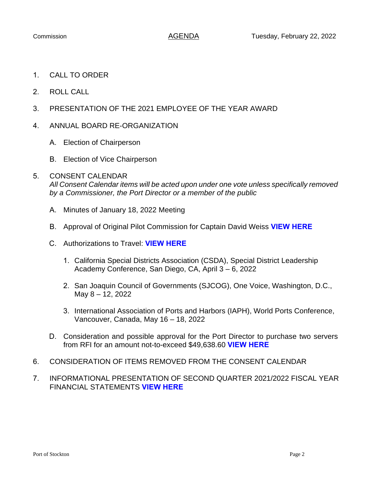- 1. CALL TO ORDER
- 2. ROLL CALL
- 3. PRESENTATION OF THE 2021 EMPLOYEE OF THE YEAR AWARD
- 4. ANNUAL BOARD RE-ORGANIZATION
	- A. Election of Chairperson
	- B. Election of Vice Chairperson

## 5. CONSENT CALENDAR

*All Consent Calendar items will be acted upon under one vote unless specifically removed by a Commissioner, the Port Director or a member of the public*

- A. Minutes of January 18, 2022 Meeting
- B. Approval of Original Pilot Commission for Captain David Weiss **[VIEW HERE](https://www.portofstockton.com/wp-content/uploads/2022/02/ConsentB.pdf)**
- C. Authorizations to Travel: **[VIEW HERE](https://www.portofstockton.com/wp-content/uploads/2022/02/ConsentC.pdf)**
	- 1. California Special Districts Association (CSDA), Special District Leadership Academy Conference, San Diego, CA, April 3 – 6, 2022
	- 2. San Joaquin Council of Governments (SJCOG), One Voice, Washington, D.C., May 8 – 12, 2022
	- 3. International Association of Ports and Harbors (IAPH), World Ports Conference, Vancouver, Canada, May 16 – 18, 2022
- D. Consideration and possible approval for the Port Director to purchase two servers from RFI for an amount not-to-exceed \$49,638.60 **[VIEW HERE](https://www.portofstockton.com/wp-content/uploads/2022/02/ConsentD.pdf)**
- 6. CONSIDERATION OF ITEMS REMOVED FROM THE CONSENT CALENDAR
- 7. INFORMATIONAL PRESENTATION OF SECOND QUARTER 2021/2022 FISCAL YEAR FINANCIAL STATEMENTS **VIEW [HERE](https://www.portofstockton.com/wp-content/uploads/2022/02/AgendaItem7.pdf)**